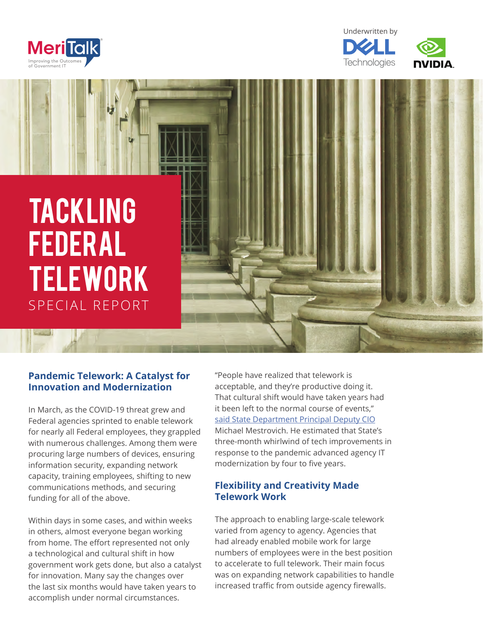







# **Pandemic Telework: A Catalyst for Innovation and Modernization**

In March, as the COVID-19 threat grew and Federal agencies sprinted to enable telework for nearly all Federal employees, they grappled with numerous challenges. Among them were procuring large numbers of devices, ensuring information security, expanding network capacity, training employees, shifting to new communications methods, and securing funding for all of the above.

Within days in some cases, and within weeks in others, almost everyone began working from home. The effort represented not only a technological and cultural shift in how government work gets done, but also a catalyst for innovation. Many say the changes over the last six months would have taken years to accomplish under normal circumstances.

"People have realized that telework is acceptable, and they're productive doing it. That cultural shift would have taken years had it been left to the normal course of events," [said State Department Principal Deputy CIO](https://www.meritalk.com/articles/cio-crossroads-federal-it-in-the-covid-crisis-state-department-edition/) Michael Mestrovich. He estimated that State's three-month whirlwind of tech improvements in response to the pandemic advanced agency IT modernization by four to five years.

## **Flexibility and Creativity Made Telework Work**

The approach to enabling large-scale telework varied from agency to agency. Agencies that had already enabled mobile work for large numbers of employees were in the best position to accelerate to full telework. Their main focus was on expanding network capabilities to handle increased traffic from outside agency firewalls.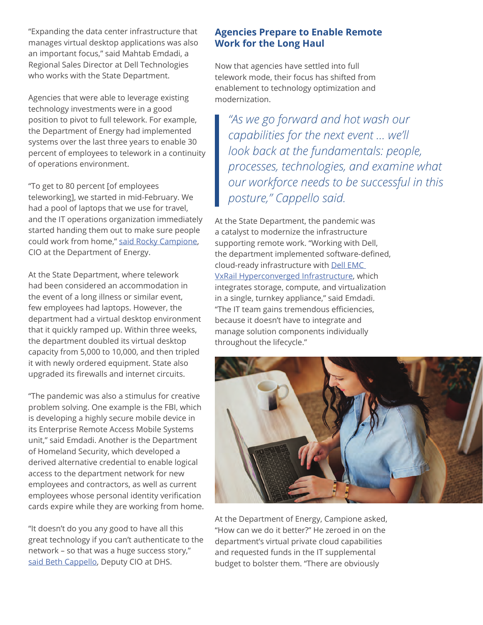"Expanding the data center infrastructure that manages virtual desktop applications was also an important focus," said Mahtab Emdadi, a Regional Sales Director at Dell Technologies who works with the State Department.

Agencies that were able to leverage existing technology investments were in a good position to pivot to full telework. For example, the Department of Energy had implemented systems over the last three years to enable 30 percent of employees to telework in a continuity of operations environment.

"To get to 80 percent [of employees teleworking], we started in mid-February. We had a pool of laptops that we use for travel, and the IT operations organization immediately started handing them out to make sure people could work from home," [said Rocky Campione](https://www.meritalk.com/articles/cio-crossroads-federal-it-in-the-covid-crisis-energy-edition-2/), CIO at the Department of Energy.

At the State Department, where telework had been considered an accommodation in the event of a long illness or similar event, few employees had laptops. However, the department had a virtual desktop environment that it quickly ramped up. Within three weeks, the department doubled its virtual desktop capacity from 5,000 to 10,000, and then tripled it with newly ordered equipment. State also upgraded its firewalls and internet circuits.

"The pandemic was also a stimulus for creative problem solving. One example is the FBI, which is developing a highly secure mobile device in its Enterprise Remote Access Mobile Systems unit," said Emdadi. Another is the Department of Homeland Security, which developed a derived alternative credential to enable logical access to the department network for new employees and contractors, as well as current employees whose personal identity verification cards expire while they are working from home.

"It doesn't do you any good to have all this great technology if you can't authenticate to the network – so that was a huge success story," [said Beth Cappello,](https://www.meritalk.com/articles/cio-crossroads-federal-it-in-the-covid-crisis-dhs-edition/) Deputy CIO at DHS.

## **Agencies Prepare to Enable Remote Work for the Long Haul**

Now that agencies have settled into full telework mode, their focus has shifted from enablement to technology optimization and modernization.

*"As we go forward and hot wash our capabilities for the next event … we'll look back at the fundamentals: people, processes, technologies, and examine what our workforce needs to be successful in this posture," Cappello said.*

At the State Department, the pandemic was a catalyst to modernize the infrastructure supporting remote work. "Working with Dell, the department implemented software-defined, cloud-ready infrastructure with [Dell EMC](https://www.delltechnologies.com/en-us/converged-infrastructure/vxrail/index.htm)  [VxRail Hyperconverged Infrastructure](https://www.delltechnologies.com/en-us/converged-infrastructure/vxrail/index.htm), which integrates storage, compute, and virtualization in a single, turnkey appliance," said Emdadi. "The IT team gains tremendous efficiencies, because it doesn't have to integrate and manage solution components individually throughout the lifecycle."



At the Department of Energy, Campione asked, "How can we do it better?" He zeroed in on the department's virtual private cloud capabilities and requested funds in the IT supplemental budget to bolster them. "There are obviously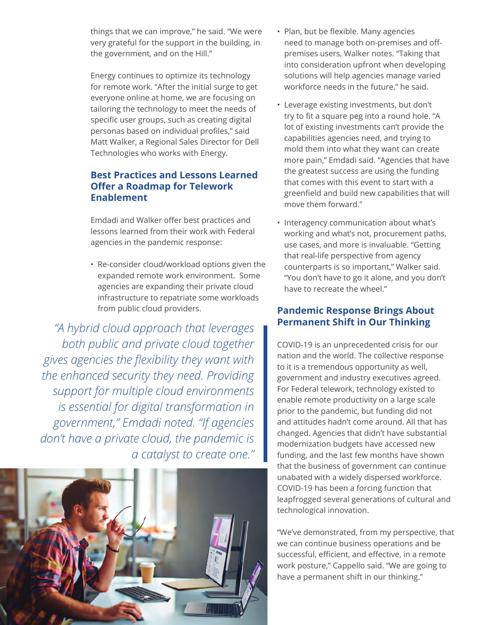things that we can improve," he said. "We were very grateful for the support in the building, in the government, and on the Hill."

Energy continues to optimize its technology for remote work. "After the initial surge to get everyone online at home, we are focusing on tailoring the technology to meet the needs of specific user groups, such as creating digital personas based on individual profiles," said Matt Walker, a Regional Sales Director for Dell Technologies who works with Energy.

# **Best Practices and Lessons Learned Offer a Roadmap for Telework Enablement**

Emdadi and Walker offer best practices and lessons learned from their work with Federal agencies in the pandemic response:

• Re-consider cloud/workload options given the expanded remote work environment. Some agencies are expanding their private cloud infrastructure to repatriate some workloads from public cloud providers.

*"A hybrid cloud approach that leverages both public and private cloud together gives agencies the flexibility they want with the enhanced security they need. Providing support for multiple cloud environments is essential for digital transformation in government," Emdadi noted. "If agencies don't have a private cloud, the pandemic is a catalyst to create one."*



- Plan, but be flexible. Many agencies need to manage both on-premises and offpremises users, Walker notes. "Taking that into consideration upfront when developing solutions will help agencies manage varied workforce needs in the future," he said.
- Leverage existing investments, but don't try to fit a square peg into a round hole. "A lot of existing investments can't provide the capabilities agencies need, and trying to mold them into what they want can create more pain," Emdadi said. "Agencies that have the greatest success are using the funding that comes with this event to start with a greenfield and build new capabilities that will move them forward."
- Interagency communication about what's working and what's not, procurement paths, use cases, and more is invaluable. "Getting that real-life perspective from agency counterparts is so important," Walker said. "You don't have to go it alone, and you don't have to recreate the wheel."

# **Pandemic Response Brings About Permanent Shift in Our Thinking**

COVID-19 is an unprecedented crisis for our nation and the world. The collective response to it is a tremendous opportunity as well, government and industry executives agreed. For Federal telework, technology existed to enable remote productivity on a large scale prior to the pandemic, but funding did not and attitudes hadn't come around. All that has changed. Agencies that didn't have substantial modernization budgets have accessed new funding, and the last few months have shown that the business of government can continue unabated with a widely dispersed workforce. COVID-19 has been a forcing function that leapfrogged several generations of cultural and technological innovation.

"We've demonstrated, from my perspective, that we can continue business operations and be successful, efficient, and effective, in a remote work posture," Cappello said. "We are going to have a permanent shift in our thinking."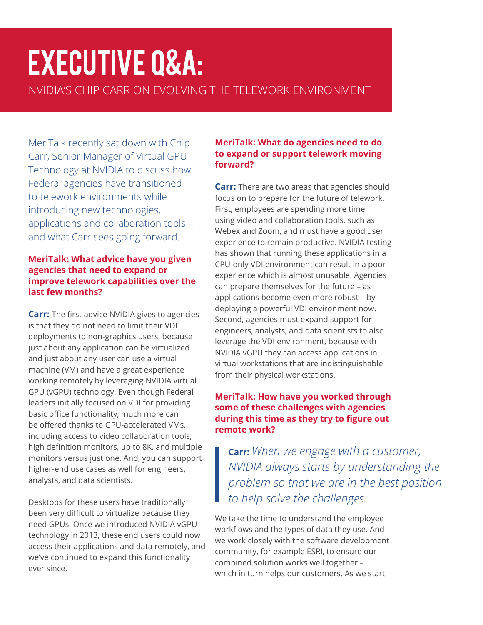# Executive Q&A: NVIDIA'S CHIP CARR ON EVOLVING THE TELEWORK ENVIRONMENT

MeriTalk recently sat down with Chip Carr, Senior Manager of Virtual GPU Technology at NVIDIA to discuss how Federal agencies have transitioned to telework environments while introducing new technologies, applications and collaboration tools – and what Carr sees going forward.

#### **MeriTalk: What advice have you given agencies that need to expand or improve telework capabilities over the last few months?**

**Carr:** The first advice NVIDIA gives to agencies is that they do not need to limit their VDI deployments to non-graphics users, because just about any application can be virtualized and just about any user can use a virtual machine (VM) and have a great experience working remotely by leveraging NVIDIA virtual GPU (vGPU) technology. Even though Federal leaders initially focused on VDI for providing basic office functionality, much more can be offered thanks to GPU-accelerated VMs, including access to video collaboration tools, high definition monitors, up to 8K, and multiple monitors versus just one. And, you can support higher-end use cases as well for engineers, analysts, and data scientists.

Desktops for these users have traditionally been very difficult to virtualize because they need GPUs. Once we introduced NVIDIA vGPU technology in 2013, these end users could now access their applications and data remotely, and we've continued to expand this functionality ever since.

#### **MeriTalk: What do agencies need to do to expand or support telework moving forward?**

**Carr:** There are two areas that agencies should focus on to prepare for the future of telework. First, employees are spending more time using video and collaboration tools, such as Webex and Zoom, and must have a good user experience to remain productive. NVIDIA testing has shown that running these applications in a CPU-only VDI environment can result in a poor experience which is almost unusable. Agencies can prepare themselves for the future – as applications become even more robust – by deploying a powerful VDI environment now. Second, agencies must expand support for engineers, analysts, and data scientists to also leverage the VDI environment, because with NVIDIA vGPU they can access applications in virtual workstations that are indistinguishable from their physical workstations.

## **MeriTalk: How have you worked through some of these challenges with agencies during this time as they try to figure out remote work?**

**Carr:** *When we engage with a customer, NVIDIA always starts by understanding the problem so that we are in the best position to help solve the challenges.*

We take the time to understand the employee workflows and the types of data they use. And we work closely with the software development community, for example ESRI, to ensure our combined solution works well together – which in turn helps our customers. As we start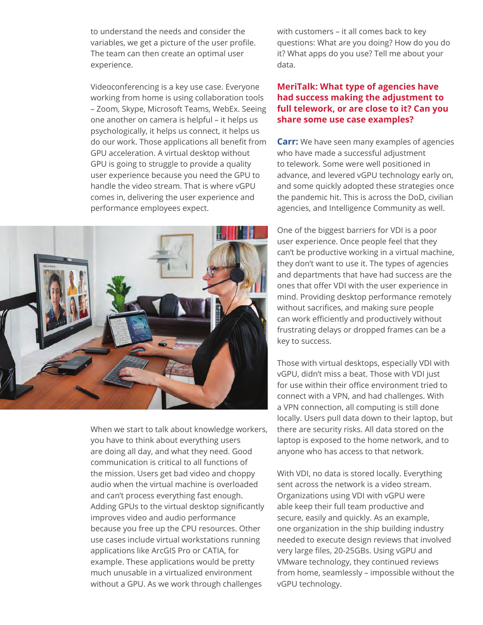to understand the needs and consider the variables, we get a picture of the user profile. The team can then create an optimal user experience.

Videoconferencing is a key use case. Everyone working from home is using collaboration tools – Zoom, Skype, Microsoft Teams, WebEx. Seeing one another on camera is helpful – it helps us psychologically, it helps us connect, it helps us do our work. Those applications all benefit from GPU acceleration. A virtual desktop without GPU is going to struggle to provide a quality user experience because you need the GPU to handle the video stream. That is where vGPU comes in, delivering the user experience and performance employees expect.



When we start to talk about knowledge workers, you have to think about everything users are doing all day, and what they need. Good communication is critical to all functions of the mission. Users get bad video and choppy audio when the virtual machine is overloaded and can't process everything fast enough. Adding GPUs to the virtual desktop significantly improves video and audio performance because you free up the CPU resources. Other use cases include virtual workstations running applications like ArcGIS Pro or CATIA, for example. These applications would be pretty much unusable in a virtualized environment without a GPU. As we work through challenges

with customers – it all comes back to key questions: What are you doing? How do you do it? What apps do you use? Tell me about your data.

#### **MeriTalk: What type of agencies have had success making the adjustment to full telework, or are close to it? Can you share some use case examples?**

**Carr:** We have seen many examples of agencies who have made a successful adjustment to telework. Some were well positioned in advance, and levered vGPU technology early on, and some quickly adopted these strategies once the pandemic hit. This is across the DoD, civilian agencies, and Intelligence Community as well.

One of the biggest barriers for VDI is a poor user experience. Once people feel that they can't be productive working in a virtual machine, they don't want to use it. The types of agencies and departments that have had success are the ones that offer VDI with the user experience in mind. Providing desktop performance remotely without sacrifices, and making sure people can work efficiently and productively without frustrating delays or dropped frames can be a key to success.

Those with virtual desktops, especially VDI with vGPU, didn't miss a beat. Those with VDI just for use within their office environment tried to connect with a VPN, and had challenges. With a VPN connection, all computing is still done locally. Users pull data down to their laptop, but there are security risks. All data stored on the laptop is exposed to the home network, and to anyone who has access to that network.

With VDI, no data is stored locally. Everything sent across the network is a video stream. Organizations using VDI with vGPU were able keep their full team productive and secure, easily and quickly. As an example, one organization in the ship building industry needed to execute design reviews that involved very large files, 20-25GBs. Using vGPU and VMware technology, they continued reviews from home, seamlessly – impossible without the vGPU technology.